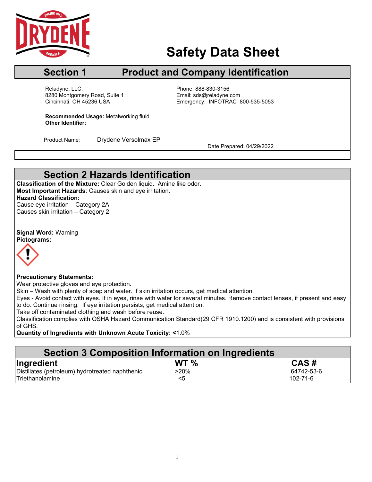

# **Safety Data Sheet**

## **Section 1** Product and Company Identification

Cincinnati. OH 45236 USA Reladyne, LLC.<br>
8280 Montgomery Road, Suite 1 entitled by Phone: 888-830-3156<br>
Email: sds@reladyne.com 8280 Montgomery Road, Suite 1

Emergency: INFOTRAC 800-535-5053

**Recommended Usage:** Metalworking fluid **Other Identifier:**

Product Name: Drydene Versolmax EP<br>Date Prepared: 04/29/2022

# **Section 2 Hazards Identification**

**Classification of the Mixture:** Clear Golden liquid. Amine like odor. **Most Important Hazards**: Causes skin and eye irritation. **Hazard Classification:** Cause eye irritation – Category 2A Causes skin irritation – Category 2

**Signal Word:** Warning **Pictograms:**



#### **Precautionary Statements:**

Wear protective gloves and eye protection.

Skin – Wash with plenty of soap and water. If skin irritation occurs, get medical attention.

Eyes - Avoid contact with eyes. If in eyes, rinse with water for several minutes. Remove contact lenses, if present and easy to do. Continue rinsing. If eye irritation persists, get medical attention.

Take off contaminated clothing and wash before reuse.

Classification complies with OSHA Hazard Communication Standard(29 CFR 1910.1200) and is consistent with provisions of GHS.

**Quantity of Ingredients with Unknown Acute Toxicity: <**1.0%

# **Section 3 Composition Information on Ingredients**

| Ingredient                                      | WT % | CAS#       |
|-------------------------------------------------|------|------------|
| Distillates (petroleum) hydrotreated naphthenic | >20% | 64742-53-6 |
| <b>Triethanolamine</b>                          |      | 102-71-6   |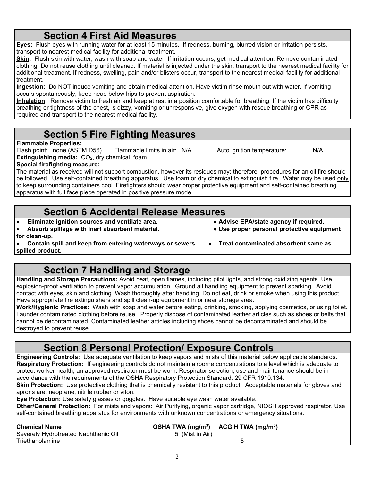**Section 4 First Aid Measures**

**Eyes:** Flush eyes with running water for at least 15 minutes. If redness, burning, blurred vision or irritation persists, transport to nearest medical facility for additional treatment.

**Skin:** Flush skin with water, wash with soap and water. If irritation occurs, get medical attention. Remove contaminated clothing. Do not reuse clothing until cleaned. If material is injected under the skin, transport to the nearest medical facility for additional treatment. If redness, swelling, pain and/or blisters occur, transport to the nearest medical facility for additional treatment.

**Ingestion:** Do NOT induce vomiting and obtain medical attention. Have victim rinse mouth out with water. If vomiting occurs spontaneously, keep head below hips to prevent aspiration.

**Inhalation:** Remove victim to fresh air and keep at rest in a position comfortable for breathing. If the victim has difficulty breathing or tightness of the chest, is dizzy, vomiting or unresponsive, give oxygen with rescue breathing or CPR as required and transport to the nearest medical facility.

# **Section 5 Fire Fighting Measures**

### **Flammable Properties:**

Flash point: none (ASTM D56) Flammable limits in air: N/A Auto ignition temperature: N/A **Extinguishing media:** CO<sub>2</sub>, dry chemical, foam

**Special firefighting measure:** The material as received will not support combustion, however its residues may; therefore, procedures for an oil fire should be followed. Use self-contained breathing apparatus. Use foam or dry chemical to extinguish fire. Water may be used only to keep surrounding containers cool. Firefighters should wear proper protective equipment and self-contained breathing apparatus with full face piece operated in positive pressure mode.

# **Section 6 Accidental Release Measures**

- **Eliminate ignition sources and ventilate area. Advise EPA/state agency if required.**
- Absorb spillage with inert absorbent material. **for clean-up.**

• **Contain spill and keep from entering waterways or sewers.** • **Treat contaminated absorbent same as spilled product.**

# **Section 7 Handling and Storage**

**Handling and Storage Precautions:** Avoid heat, open flames, including pilot lights, and strong oxidizing agents. Use explosion-proof ventilation to prevent vapor accumulation. Ground all handling equipment to prevent sparking. Avoid contact with eyes, skin and clothing. Wash thoroughly after handling. Do not eat, drink or smoke when using this product. Have appropriate fire extinguishers and spill clean-up equipment in or near storage area.

**Work/Hygienic Practices:** Wash with soap and water before eating, drinking, smoking, applying cosmetics, or using toilet. Launder contaminated clothing before reuse. Properly dispose of contaminated leather articles such as shoes or belts that cannot be decontaminated. Contaminated leather articles including shoes cannot be decontaminated and should be destroyed to prevent reuse.

# **Section 8 Personal Protection/ Exposure Controls**

**Engineering Controls:** Use adequate ventilation to keep vapors and mists of this material below applicable standards. **Respiratory Protection:** If engineering controls do not maintain airborne concentrations to a level which is adequate to protect worker health, an approved respirator must be worn. Respirator selection, use and maintenance should be in accordance with the requirements of the OSHA Respiratory Protection Standard, 29 CFR 1910.134.

**Skin Protection:** Use protective clothing that is chemically resistant to this product. Acceptable materials for gloves and aprons are: neoprene, nitrile rubber or viton.

**Eye Protection:** Use safety glasses or goggles. Have suitable eye wash water available.

**Other/General Protection:** For mists and vapors: Air Purifying, organic vapor cartridge, NIOSH approved respirator. Use self-contained breathing apparatus for environments with unknown concentrations or emergency situations.

| <b>Chemical Name</b>                 | OSHA TWA $(mg/m3)$ | ACGIH TWA $(mg/m3)$ |  |
|--------------------------------------|--------------------|---------------------|--|
| Severely Hydrotreated Naphthenic Oil | 5 (Mist in Air)    |                     |  |
| Triethanolamine                      |                    |                     |  |

 $\mathfrak{D}$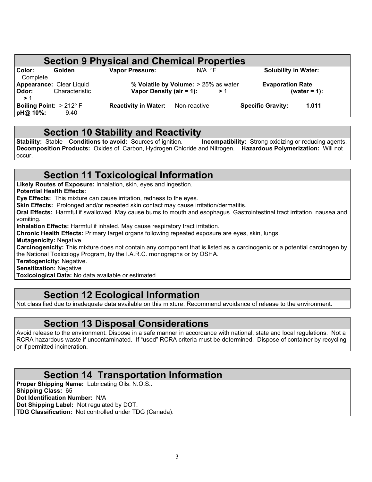|                                                    |                | <b>Section 9 Physical and Chemical Properties</b> |                                            |                          |                             |
|----------------------------------------------------|----------------|---------------------------------------------------|--------------------------------------------|--------------------------|-----------------------------|
| Color:<br>Complete                                 | Golden         | <b>Vapor Pressure:</b>                            | $N/A$ $\circ$ F                            |                          | <b>Solubility in Water:</b> |
| <b>Appearance: Clear Liquid</b><br>Odor:<br>>1     | Characteristic | Vapor Density (air = 1):                          | % Volatile by Volume: > 25% as water<br>>1 | <b>Evaporation Rate</b>  | (water = $1$ ):             |
| <b>Boiling Point:</b> $>212^{\circ}$ F<br>pH@ 10%: | 9.40           | <b>Reactivity in Water:</b>                       | Non-reactive                               | <b>Specific Gravity:</b> | 1.011                       |

**Section 10 Stability and Reactivity**<br>Stable Conditions to avoid: Sources of ignition. Incompatibility: Strong oxidizing or reducing agents. **Stability: Stable Conditions to avoid:** Sources of ignition. **Decomposition Products:** Oxides of Carbon, Hydrogen Chloride and Nitrogen. **Hazardous Polymerization:** Will not occur.

# **Section 11 Toxicological Information**

**Likely Routes of Exposure:** Inhalation, skin, eyes and ingestion.

**Potential Health Effects:**

**Eye Effects:** This mixture can cause irritation, redness to the eyes.

**Skin Effects:** Prolonged and/or repeated skin contact may cause irritation/dermatitis.

**Oral Effects:** Harmful if swallowed. May cause burns to mouth and esophagus. Gastrointestinal tract irritation, nausea and vomiting.

**Inhalation Effects:** Harmful if inhaled. May cause respiratory tract irritation.

**Chronic Health Effects:** Primary target organs following repeated exposure are eyes, skin, lungs.

**Mutagenicity:** Negative

**Carcinogenicity:** This mixture does not contain any component that is listed as a carcinogenic or a potential carcinogen by the National Toxicology Program, by the I.A.R.C. monographs or by OSHA.

**Teratogenicity:** Negative.

**Sensitization:** Negative

**Toxicological Data:** No data available or estimated

# **Section 12 Ecological Information**

Not classified due to inadequate data available on this mixture. Recommend avoidance of release to the environment.

## **Section 13 Disposal Considerations**

Avoid release to the environment. Dispose in a safe manner in accordance with national, state and local regulations. Not a RCRA hazardous waste if uncontaminated. If "used" RCRA criteria must be determined. Dispose of container by recycling or if permitted incineration.

# **Section 14 Transportation Information**

**Proper Shipping Name:** Lubricating Oils. N.O.S.. **Shipping Class:** 65 **Dot Identification Number:** N/A **Dot Shipping Label:** Not regulated by DOT. **TDG Classification:** Not controlled under TDG (Canada).